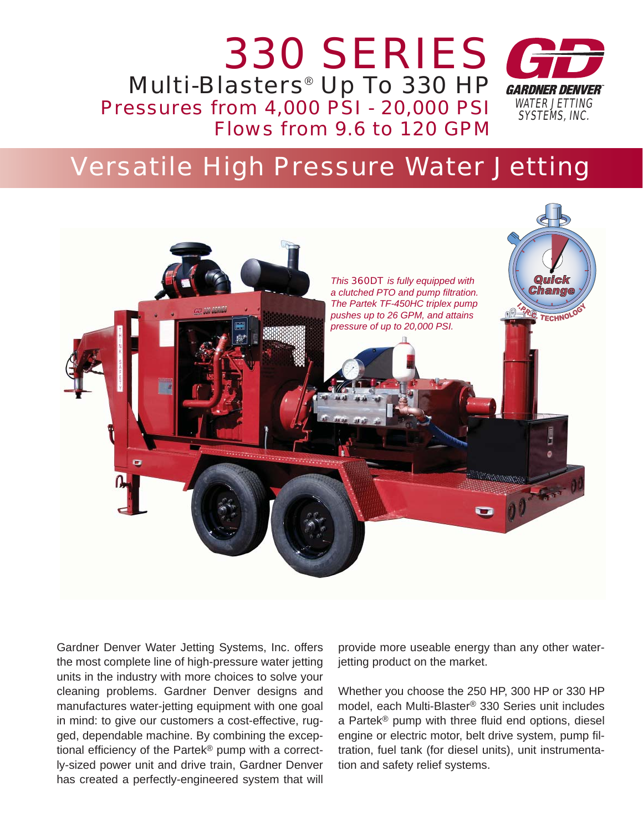

# Versatile High Pressure Water Jetting



Gardner Denver Water Jetting Systems, Inc. offers the most complete line of high-pressure water jetting units in the industry with more choices to solve your cleaning problems. Gardner Denver designs and manufactures water-jetting equipment with one goal in mind: to give our customers a cost-effective, rugged, dependable machine. By combining the exceptional efficiency of the Partek® pump with a correctly-sized power unit and drive train, Gardner Denver has created a perfectly-engineered system that will

provide more useable energy than any other waterjetting product on the market.

Whether you choose the 250 HP, 300 HP or 330 HP model, each Multi-Blaster® 330 Series unit includes a Partek<sup>®</sup> pump with three fluid end options, diesel engine or electric motor, belt drive system, pump filtration, fuel tank (for diesel units), unit instrumentation and safety relief systems.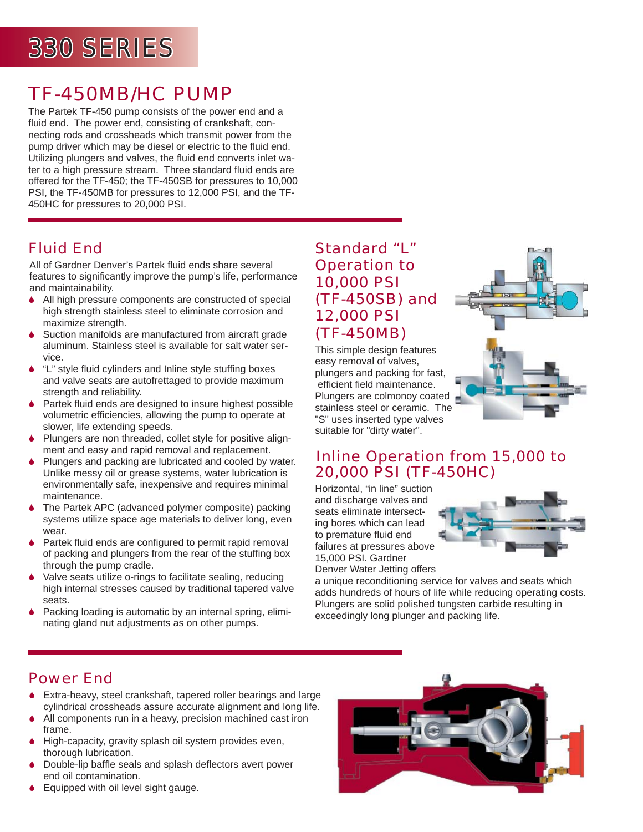# **330 SERIES**

## TF-450MB/HC PUMP

The Partek TF-450 pump consists of the power end and a fluid end. The power end, consisting of crankshaft, connecting rods and crossheads which transmit power from the pump driver which may be diesel or electric to the fluid end. Utilizing plungers and valves, the fluid end converts inlet water to a high pressure stream. Three standard fluid ends are offered for the TF-450; the TF-450SB for pressures to 10,000 PSI, the TF-450MB for pressures to 12,000 PSI, and the TF-450HC for pressures to 20,000 PSI.

### Fluid End

All of Gardner Denver's Partek fluid ends share several features to significantly improve the pump's life, performance and maintainability.

- 6 All high pressure components are constructed of special high strength stainless steel to eliminate corrosion and maximize strength.
- Suction manifolds are manufactured from aircraft grade aluminum. Stainless steel is available for salt water service.
- "L" style fluid cylinders and Inline style stuffing boxes and valve seats are autofrettaged to provide maximum strength and reliability.
- Partek fluid ends are designed to insure highest possible volumetric efficiencies, allowing the pump to operate at slower, life extending speeds.
- Plungers are non threaded, collet style for positive alignment and easy and rapid removal and replacement.
- 6 Plungers and packing are lubricated and cooled by water. Unlike messy oil or grease systems, water lubrication is environmentally safe, inexpensive and requires minimal maintenance.
- The Partek APC (advanced polymer composite) packing systems utilize space age materials to deliver long, even wear.
- Partek fluid ends are configured to permit rapid removal of packing and plungers from the rear of the stuffing box through the pump cradle.
- Valve seats utilize o-rings to facilitate sealing, reducing high internal stresses caused by traditional tapered valve seats.
- Packing loading is automatic by an internal spring, eliminating gland nut adjustments as on other pumps.

#### Standard "L" Operation to 10,000 PSI (TF-450SB) and 12,000 PSI (TF-450MB)

This simple design features easy removal of valves, plungers and packing for fast, efficient field maintenance. Plungers are colmonoy coated stainless steel or ceramic. The "S" uses inserted type valves suitable for "dirty water".



#### Inline Operation from 15,000 to 20,000 PSI (TF-450HC)

Horizontal, "in line" suction and discharge valves and seats eliminate intersecting bores which can lead to premature fluid end failures at pressures above 15,000 PSI. Gardner Denver Water Jetting offers



a unique reconditioning service for valves and seats which adds hundreds of hours of life while reducing operating costs. Plungers are solid polished tungsten carbide resulting in exceedingly long plunger and packing life.

### Power End

- 6 Extra-heavy, steel crankshaft, tapered roller bearings and large cylindrical crossheads assure accurate alignment and long life.
- All components run in a heavy, precision machined cast iron frame.
- 6 High-capacity, gravity splash oil system provides even, thorough lubrication.
- Double-lip baffle seals and splash deflectors avert power end oil contamination.
- ♦ Equipped with oil level sight gauge.

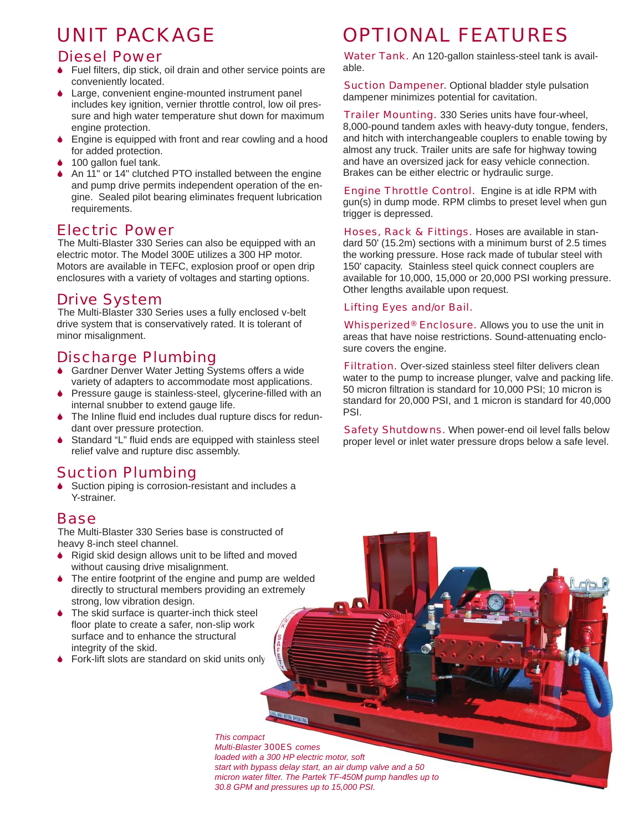## UNIT PACKAGE

#### Diesel Power

- $\bullet$  Fuel filters, dip stick, oil drain and other service points are conveniently located.
- Large, convenient engine-mounted instrument panel includes key ignition, vernier throttle control, low oil pressure and high water temperature shut down for maximum engine protection.
- 6 Engine is equipped with front and rear cowling and a hood for added protection.
- 100 gallon fuel tank.
- 6 An 11" or 14" clutched PTO installed between the engine and pump drive permits independent operation of the engine. Sealed pilot bearing eliminates frequent lubrication requirements.

#### Electric Power

The Multi-Blaster 330 Series can also be equipped with an electric motor. The Model 300E utilizes a 300 HP motor. Motors are available in TEFC, explosion proof or open drip enclosures with a variety of voltages and starting options.

### Drive System

The Multi-Blaster 330 Series uses a fully enclosed v-belt drive system that is conservatively rated. It is tolerant of minor misalignment.

### Discharge Plumbing

- ◆ Gardner Denver Water Jetting Systems offers a wide variety of adapters to accommodate most applications.
- Pressure gauge is stainless-steel, glycerine-filled with an internal snubber to extend gauge life.
- The Inline fluid end includes dual rupture discs for redundant over pressure protection.
- Standard "L" fluid ends are equipped with stainless steel relief valve and rupture disc assembly.

### Suction Plumbing

Suction piping is corrosion-resistant and includes a Y-strainer.

#### Base

The Multi-Blaster 330 Series base is constructed of heavy 8-inch steel channel.

- 6 Rigid skid design allows unit to be lifted and moved without causing drive misalignment.
- The entire footprint of the engine and pump are welded directly to structural members providing an extremely strong, low vibration design.

*This compact* 

- The skid surface is quarter-inch thick steel floor plate to create a safer, non-slip work surface and to enhance the structural integrity of the skid.
- ◆ Fork-lift slots are standard on skid units only

## OPTIONAL FEATURES

Water Tank. An 120-gallon stainless-steel tank is available.

**Suction Dampener.** Optional bladder style pulsation dampener minimizes potential for cavitation.

Trailer Mounting. 330 Series units have four-wheel, 8,000-pound tandem axles with heavy-duty tongue, fenders, and hitch with interchangeable couplers to enable towing by almost any truck. Trailer units are safe for highway towing and have an oversized jack for easy vehicle connection. Brakes can be either electric or hydraulic surge.

Engine Throttle Control. Engine is at idle RPM with gun(s) in dump mode. RPM climbs to preset level when gun trigger is depressed.

Hoses, Rack & Fittings. Hoses are available in standard 50' (15.2m) sections with a minimum burst of 2.5 times the working pressure. Hose rack made of tubular steel with 150' capacity. Stainless steel quick connect couplers are available for 10,000, 15,000 or 20,000 PSI working pressure. Other lengths available upon request.

#### Lifting Eyes and/or Bail.

Whisperized<sup>®</sup> Enclosure. Allows you to use the unit in areas that have noise restrictions. Sound-attenuating enclosure covers the engine.

**Filtration.** Over-sized stainless steel filter delivers clean water to the pump to increase plunger, valve and packing life. 50 micron filtration is standard for 10,000 PSI; 10 micron is standard for 20,000 PSI, and 1 micron is standard for 40,000 PSI.

Safety Shutdowns. When power-end oil level falls below proper level or inlet water pressure drops below a safe level.

*Multi-Blaster 300ES comes loaded with a 300 HP electric motor, soft start with bypass delay start, an air dump valve and a 50 micron water fi lter. The Partek TF-450M pump handles up to 30.8 GPM and pressures up to 15,000 PSI.*